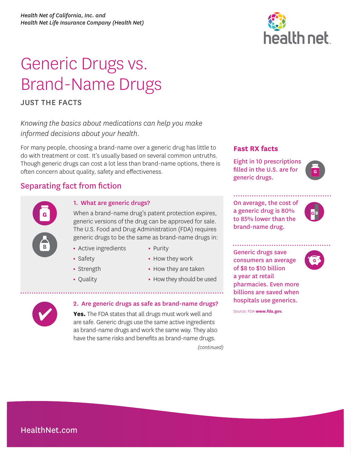# Generic Drugs vs. Brand-Name Drugs

JUST THE FACTS

**B** 

**B**

**G** 

**G**

*Knowing the basics about medications can help you make informed decisions about your health.* 

For many people, choosing a brand-name over a generic drug has little to do with treatment or cost. It's usually based on several common untruths. Though generic drugs can cost a lot less than brand-name options, there is often concern about quality, safety and effectiveness.

## Separating fact from fiction

### 1. What are generic drugs?

When a brand-name drug's patent protection expires, generic versions of the drug can be approved for sale. The U.S. Food and Drug Administration (FDA) requires generic drugs to be the same as brand-name drugs in:

- **•** Active ingredients
- **•** Purity

**•** Safety

**•** Quality

- **•** Strength
- **•** How they work
- 
- **•** How they are taken
- **•** How they should be used

# 2. Are generic drugs as safe as brand-name drugs?

*(continued)*  **Yes.** The FDA states that all drugs must work well and are safe. Generic drugs use the same active ingredients as brand-name drugs and work the same way. They also have the same risks and benefits as brand-name drugs.



#### **Fast RX facts**

Eight in 10 prescriptions filled in the U.S. are for generic drugs.



On average, the cost of a generic drug is 80% to 85% lower than the brand-name drug.



**G**

Generic drugs save consumers an average of \$8 to \$10 billion a year at retail pharmacies. Even more billions are saved when hospitals use generics.

Source: FDA **www.fda.gov.**